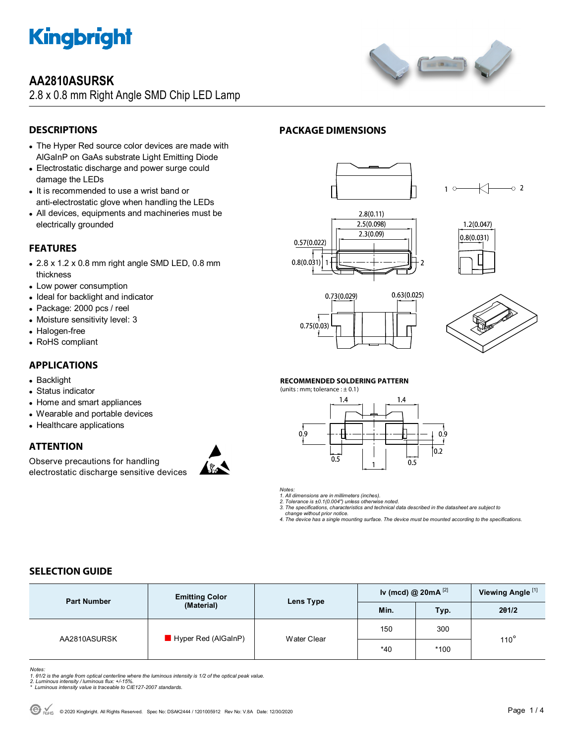

## **AA2810ASURSK**

2.8 x 0.8 mm Right Angle SMD Chip LED Lamp



## **DESCRIPTIONS**

- The Hyper Red source color devices are made with AlGaInP on GaAs substrate Light Emitting Diode
- Electrostatic discharge and power surge could damage the LEDs
- It is recommended to use a wrist band or anti-electrostatic glove when handling the LEDs
- All devices, equipments and machineries must be electrically grounded

## **FEATURES**

- 2.8 x 1.2 x 0.8 mm right angle SMD LED, 0.8 mm thickness
- Low power consumption
- Ideal for backlight and indicator
- Package: 2000 pcs / reel
- Moisture sensitivity level: 3
- Halogen-free
- RoHS compliant

## **APPLICATIONS**

- Backlight
- Status indicator
- Home and smart appliances
- Wearable and portable devices
- Healthcare applications

## **ATTENTION**

Observe precautions for handling electrostatic discharge sensitive devices



## **PACKAGE DIMENSIONS**













#### **RECOMMENDED SOLDERING PATTERN**

(units : mm; tolerance  $: \pm 0.1$ )



*Notes:* 

*1. All dimensions are in millimeters (inches).* 

*2. Tolerance is ±0.1(0.004") unless otherwise noted. 3. The specifications, characteristics and technical data described in the datasheet are subject to* 

 *change without prior notice. 4. The device has a single mounting surface. The device must be mounted according to the specifications.* 

## **SELECTION GUIDE**

| <b>Part Number</b> | <b>Emitting Color</b><br>(Material) | Lens Type   | Iv (mcd) @ $20mA$ <sup>[2]</sup> |        | Viewing Angle <sup>[1]</sup> |  |
|--------------------|-------------------------------------|-------------|----------------------------------|--------|------------------------------|--|
|                    |                                     |             | Min.                             | Typ.   | 201/2                        |  |
| AA2810ASURSK       | $\blacksquare$ Hyper Red (AlGaInP)  | Water Clear | 150                              | 300    | $110^\circ$                  |  |
|                    |                                     |             | $*40$                            | $*100$ |                              |  |

*Notes:* 

1. 01/2 is the angle from optical centerline where the luminous intensity is 1/2 of the optical peak value.<br>2. Luminous intensity / luminous flux: +/-15%.<br>\* Luminous intensity value is traceable to CIE127-2007 standards.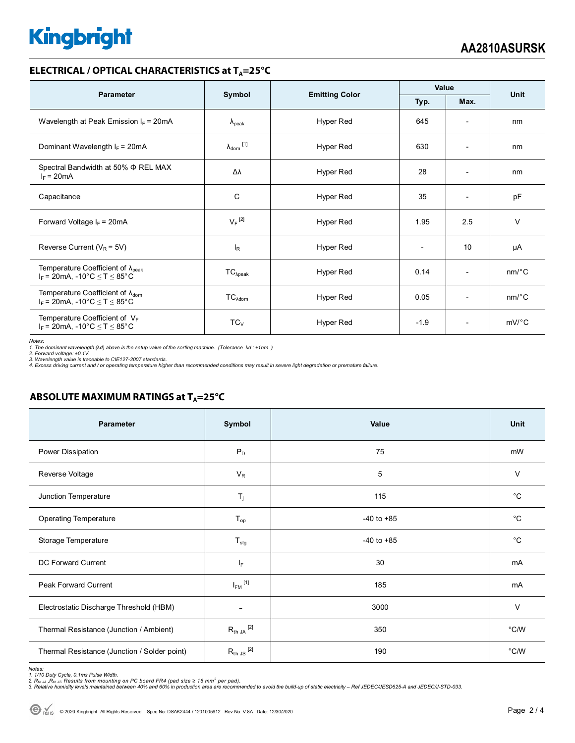# **Kingbright**

### **ELECTRICAL / OPTICAL CHARACTERISTICS at T<sub>A</sub>=25°C**

| <b>Parameter</b>                                                                                                          |                              |                       | Value        |                          | <b>Unit</b>           |
|---------------------------------------------------------------------------------------------------------------------------|------------------------------|-----------------------|--------------|--------------------------|-----------------------|
|                                                                                                                           | Symbol                       | <b>Emitting Color</b> | Max.<br>Typ. |                          |                       |
| Wavelength at Peak Emission $I_F = 20 \text{mA}$                                                                          | $\lambda_{\rm peak}$         | Hyper Red             | 645          | $\overline{\phantom{a}}$ | nm                    |
| Dominant Wavelength $I_F = 20mA$                                                                                          | $\lambda_{\mathsf{dom}}$ [1] | Hyper Red             | 630          | $\overline{\phantom{a}}$ | nm                    |
| Spectral Bandwidth at 50% $\Phi$ REL MAX<br>$I_F = 20mA$                                                                  | Δλ                           | Hyper Red             | 28           |                          | nm                    |
| Capacitance                                                                                                               | C                            | Hyper Red             | 35           | $\overline{\phantom{a}}$ | pF                    |
| Forward Voltage $I_F$ = 20mA                                                                                              | $V_F$ <sup>[2]</sup>         | Hyper Red             | 1.95         | 2.5                      | $\vee$                |
| Reverse Current ( $V_R$ = 5V)                                                                                             | $I_R$                        | Hyper Red             |              | 10                       | μA                    |
| Temperature Coefficient of $\lambda_{peak}$<br>$I_F = 20 \text{mA}, -10^{\circ} \text{C} \leq T \leq 85^{\circ} \text{C}$ | $TC_{\lambda peak}$          | Hyper Red             | 0.14         | $\overline{\phantom{a}}$ | $nm$ <sup>o</sup> $C$ |
| Temperature Coefficient of $\lambda_{\text{dom}}$<br>$I_F$ = 20mA, -10°C $\le T \le 85$ °C                                | $TC_{\lambda dom}$           | Hyper Red             | 0.05         | $\overline{\phantom{a}}$ | $nm$ <sup>o</sup> $C$ |
| Temperature Coefficient of $V_F$<br>$I_F$ = 20mA, -10°C $\le T \le 85$ °C                                                 | $TC_V$                       | Hyper Red             | $-1.9$       | $\overline{\phantom{a}}$ | $mV$ °C               |

Notes:<br>1. The dominant wavelength (λd) above is the setup value of the sorting machine. (Tolerance λd : ±1nm. )<br>2. Forward voltage: ±0.1V.<br>4. Excess driving current and / or operating temperature higher than recommended c

## **ABSOLUTE MAXIMUM RATINGS at T<sub>A</sub>=25°C**

| Parameter                                    | Symbol                  | Value          | <b>Unit</b>   |
|----------------------------------------------|-------------------------|----------------|---------------|
| Power Dissipation                            | $P_D$                   | 75             | mW            |
| Reverse Voltage                              | $V_R$                   | 5              | $\vee$        |
| Junction Temperature                         | $T_j$                   | 115            | $^{\circ}C$   |
| <b>Operating Temperature</b>                 | $T_{op}$                | $-40$ to $+85$ | $^{\circ}C$   |
| Storage Temperature                          | $T_{\text{stg}}$        | $-40$ to $+85$ | $^{\circ}C$   |
| <b>DC Forward Current</b>                    | IF.                     | 30             | mA            |
| Peak Forward Current                         | $I_{FM}$ <sup>[1]</sup> | 185            | mA            |
| Electrostatic Discharge Threshold (HBM)      |                         | 3000           | $\vee$        |
| Thermal Resistance (Junction / Ambient)      | $R_{th}$ JA $^{[2]}$    | 350            | °C/W          |
| Thermal Resistance (Junction / Solder point) | $R_{th}$ JS $^{[2]}$    | 190            | $\degree$ C/W |

Notes:<br>1. 1/10 Duty Cycle, 0.1ms Pulse Width.<br>2. Rե∋ a, Re, Js, Results from mounting on PC board FR4 (pad size ≥ 16 mm² per pad).<br>3. Relative humidity levels maintained between 40% and 60% in production area are recommen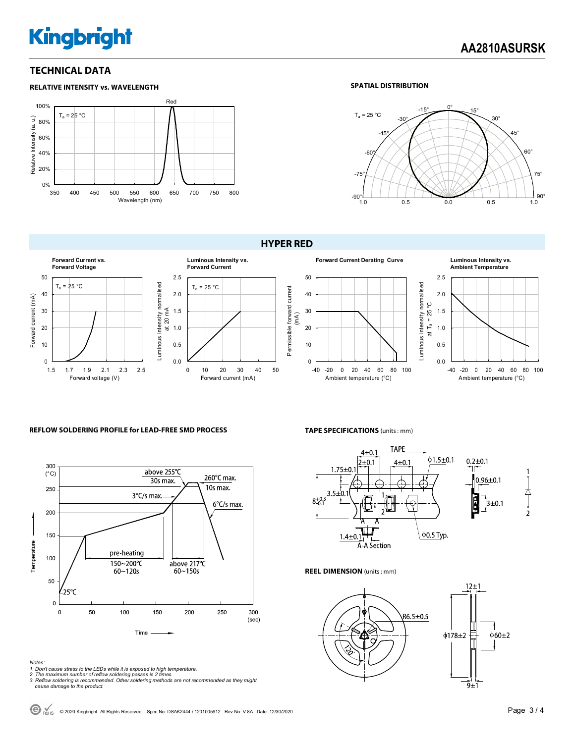# **Kingbright**

## **TECHNICAL DATA**



#### **SPATIAL DISTRIBUTION**



#### **HYPER RED**



#### **REFLOW SOLDERING PROFILE for LEAD-FREE SMD PROCESS**



#### *Notes:*

- *1. Don't cause stress to the LEDs while it is exposed to high temperature.*
- 
- *2. The maximum number of reflow soldering passes is 2 times. 3. Reflow soldering is recommended. Other soldering methods are not recommended as they might cause damage to the product.*

#### **TAPE SPECIFICATIONS** (units : mm)



0.0 0.5 1.0 1.5 2.0 2.5

Luminous intensity normalised

-40 -20 0 20 40 60 80 100 Ambient temperature (°C)

**Ambient Temperature**

#### **REEL DIMENSION** (units : mm)